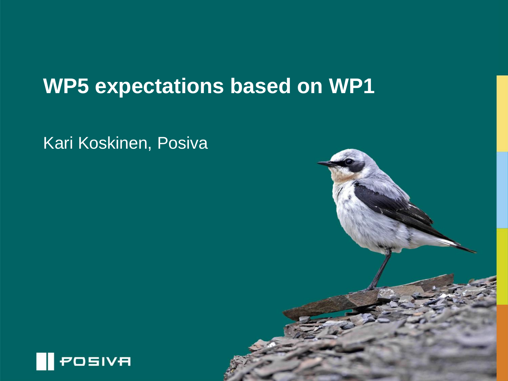## **WP5 expectations based on WP1**

Kari Koskinen, Posiva

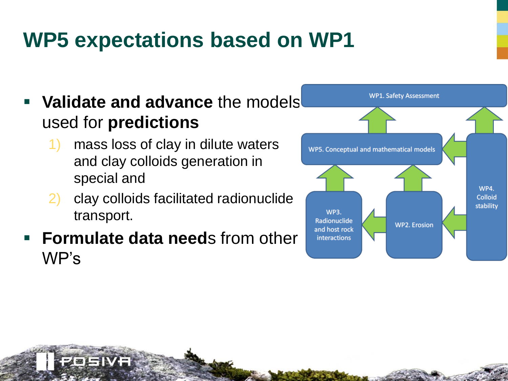## **WP5 expectations based on WP1**

- **Validate and advance** the models used for **predictions**
	- 1) mass loss of clay in dilute waters and clay colloids generation in special and
	- 2) clay colloids facilitated radionuclide transport.
- **Formulate data need**s from other WP's

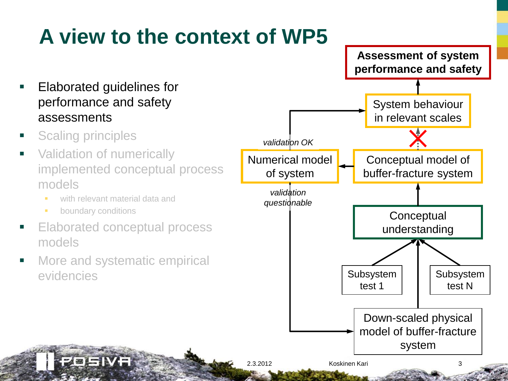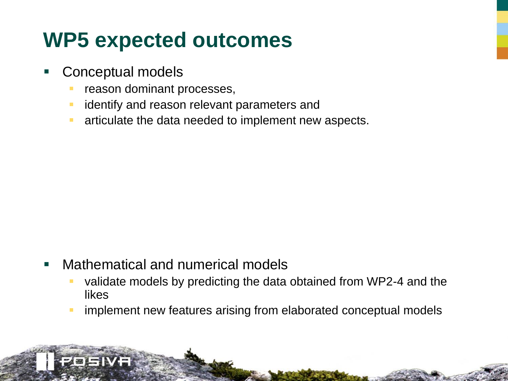## **WP5 expected outcomes**

Conceptual models

- reason dominant processes,
- **EXTERGHT** identify and reason relevant parameters and
- **EXEC** articulate the data needed to implement new aspects.

- **Nathematical and numerical models** 
	- validate models by predicting the data obtained from WP2-4 and the likes
	- **F** implement new features arising from elaborated conceptual models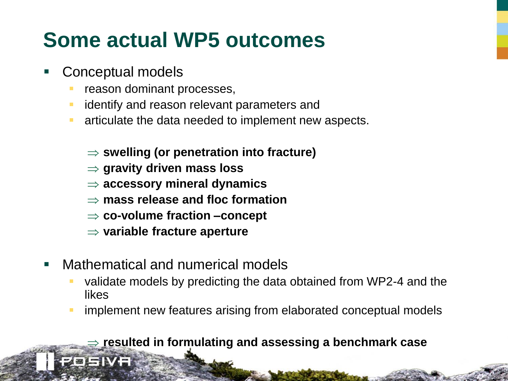## **Some actual WP5 outcomes**

- Conceptual models
	- reason dominant processes,
	- identify and reason relevant parameters and
	- **EXECUTE:** articulate the data needed to implement new aspects.
		- **swelling (or penetration into fracture)**
		- **gravity driven mass loss**
		- **accessory mineral dynamics**
		- **mass release and floc formation**
		- **co-volume fraction –concept**
		- **variable fracture aperture**
- Mathematical and numerical models
	- validate models by predicting the data obtained from WP2-4 and the likes
	- **F** implement new features arising from elaborated conceptual models

#### **resulted in formulating and assessing a benchmark case**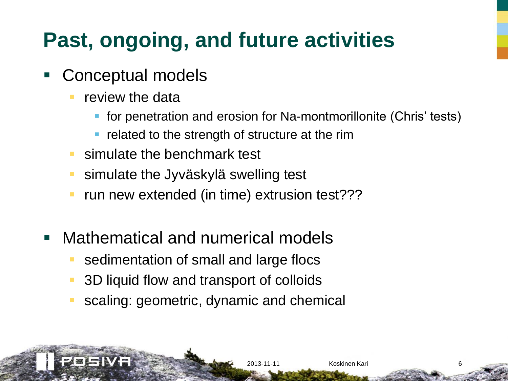# **Past, ongoing, and future activities**

- Conceptual models
	- review the data
		- **for penetration and erosion for Na-montmorillonite (Chris' tests)**

2013-11-11 Koskinen Kari 6

- related to the strength of structure at the rim
- **Simulate the benchmark test**
- **Simulate the Jyväskylä swelling test**
- **F** run new extended (in time) extrusion test???
- **Mathematical and numerical models** 
	- sedimentation of small and large flocs
	- 3D liquid flow and transport of colloids
	- scaling: geometric, dynamic and chemical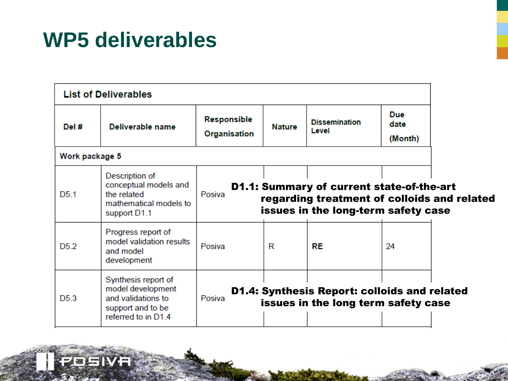## **WP5 deliverables**

OEIVE

|                  | <b>List of Deliverables</b>                                                                                |                                                                                                                                                  |               |                                                                                            |                        |  |
|------------------|------------------------------------------------------------------------------------------------------------|--------------------------------------------------------------------------------------------------------------------------------------------------|---------------|--------------------------------------------------------------------------------------------|------------------------|--|
| Del #            | Deliverable name                                                                                           | Responsible<br>Organisation                                                                                                                      | <b>Nature</b> | <b>Dissemination</b><br>Level                                                              | Due<br>date<br>(Month) |  |
| Work package 5   |                                                                                                            |                                                                                                                                                  |               |                                                                                            |                        |  |
| D <sub>5</sub> 1 | Description of<br>conceptual models and<br>the related<br>mathematical models to<br>support D1.1           | <b>D1.1: Summary of current state-of-the-art</b><br>Posiva<br>regarding treatment of colloids and related<br>issues in the long-term safety case |               |                                                                                            |                        |  |
| D <sub>5.2</sub> | Progress report of<br>model validation results<br>and model<br>development                                 | Posiva                                                                                                                                           | R             | <b>RE</b>                                                                                  | 24                     |  |
| D5.3             | Synthesis report of<br>model development<br>and validations to<br>support and to be<br>referred to in D1.4 | Posiva                                                                                                                                           |               | <b>D1.4: Synthesis Report: colloids and related</b><br>issues in the long term safety case |                        |  |